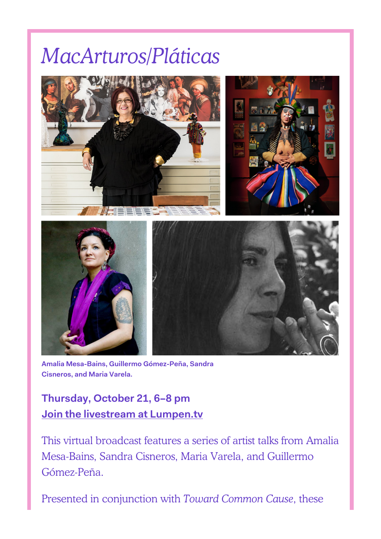# *MacArturos/Pláticas*



**Amalia Mesa-Bains, Guillermo Gómez-Peña, Sandra Cisneros, and Maria Varela.**

**Thursday, October 21, 6–8 pm [Join the livestream at Lumpen.tv](https://Lumpen.tv)**

This virtual broadcast features a series of artist talks from Amalia Mesa-Bains, Sandra Cisneros, Maria Varela, and Guillermo Gómez-Peña.

Presented in conjunction with *Toward Common Cause*, these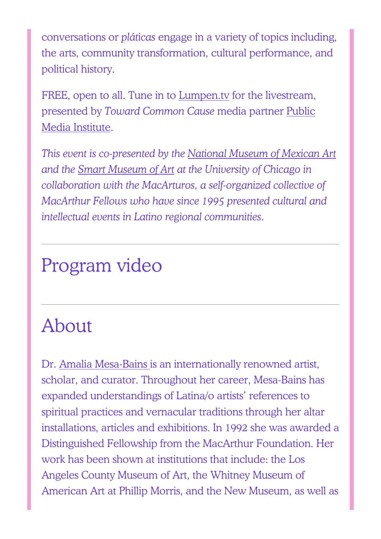conversations or *pláticas* engage in a variety of topics including, the arts, community transformation, cultural performance, and political history.

FREE, open to all. Tune in to [Lumpen.tv](https://Lumpen.tv) for the livestream, presented by *Toward Common Cause* media partner [Public](https://towardcommoncause.org/partners/public-media-institute/) [Media Institute.](https://towardcommoncause.org/partners/public-media-institute/)

*This event is co-presented by the [National Museum of Mexican Art](https://towardcommoncause.org/partners/national-museum-of-mexican-art/) and the [Smart Museum of Art](https://towardcommoncause.org/partners/smart-museum-of-art/) at the University of Chicago in collaboration with the MacArturos, a self-organized collective of MacArthur Fellows who have since 1995 presented cultural and intellectual events in Latino regional communities.*

### Program video

## About

Dr. [Amalia Mesa-Bains i](https://towardcommoncause.org/artists/amalia-mesa-bains/)s an internationally renowned artist, scholar, and curator. Throughout her career, Mesa-Bains has expanded understandings of Latina/o artists' references to spiritual practices and vernacular traditions through her altar installations, articles and exhibitions. In 1992 she was awarded a Distinguished Fellowship from the MacArthur Foundation. Her work has been shown at institutions that include: the Los Angeles County Museum of Art, the Whitney Museum of American Art at Phillip Morris, and the New Museum, as well as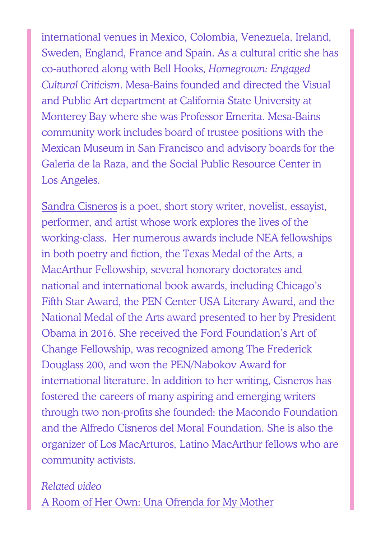international venues in Mexico, Colombia, Venezuela, Ireland, Sweden, England, France and Spain. As a cultural critic she has co-authored along with Bell Hooks, *Homegrown: Engaged Cultural Criticism*. Mesa-Bains founded and directed the Visual and Public Art department at California State University at Monterey Bay where she was Professor Emerita. Mesa-Bains community work includes board of trustee positions with the Mexican Museum in San Francisco and advisory boards for the Galeria de la Raza, and the Social Public Resource Center in Los Angeles.

[Sandra Cisneros](https://www.sandracisneros.com/) is a poet, short story writer, novelist, essayist, performer, and artist whose work explores the lives of the working-class. Her numerous awards include NEA fellowships in both poetry and fiction, the Texas Medal of the Arts, a MacArthur Fellowship, several honorary doctorates and national and international book awards, including Chicago's Fifth Star Award, the PEN Center USA Literary Award, and the National Medal of the Arts award presented to her by President Obama in 2016. She received the Ford Foundation's Art of Change Fellowship, was recognized among The Frederick Douglass 200, and won the PEN/Nabokov Award for international literature. In addition to her writing, Cisneros has fostered the careers of many aspiring and emerging writers through two non-profits she founded: the Macondo Foundation and the Alfredo Cisneros del Moral Foundation. She is also the organizer of Los MacArturos, Latino MacArthur fellows who are community activists.

*Related video* [A Room of Her Own: Una Ofrenda for My Mother](https://nationalmuseumofmexicanart.org/resources/sandra-cisneros-on-a-room-of-her-own-una-ofrenda-for-my-mother)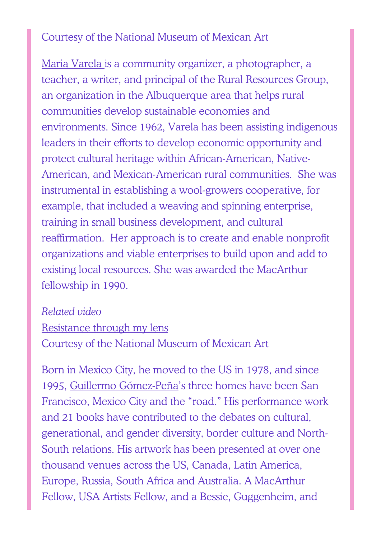#### Courtesy of the National Museum of Mexican Art

[Maria Varela](https://snccdigital.org/people/maria-varela/) is a community organizer, a photographer, a teacher, a writer, and principal of the Rural Resources Group, an organization in the Albuquerque area that helps rural communities develop sustainable economies and environments. Since 1962, Varela has been assisting indigenous leaders in their efforts to develop economic opportunity and protect cultural heritage within African-American, Native-American, and Mexican-American rural communities. She was instrumental in establishing a wool-growers cooperative, for example, that included a weaving and spinning enterprise, training in small business development, and cultural reaffirmation. Her approach is to create and enable nonprofit organizations and viable enterprises to build upon and add to existing local resources. She was awarded the MacArthur fellowship in 1990.

#### *Related video*

### [Resistance through my lens](https://youtu.be/l_hFadzeon4) Courtesy of the National Museum of Mexican Art

Born in Mexico City, he moved to the US in 1978, and since 1995, [Guillermo Gómez-Peña'](https://towardcommoncause.org/artists/guillermo-gomez-pena/)s three homes have been San Francisco, Mexico City and the "road." His performance work and 21 books have contributed to the debates on cultural, generational, and gender diversity, border culture and North-South relations. His artwork has been presented at over one thousand venues across the US, Canada, Latin America, Europe, Russia, South Africa and Australia. A MacArthur Fellow, USA Artists Fellow, and a Bessie, Guggenheim, and